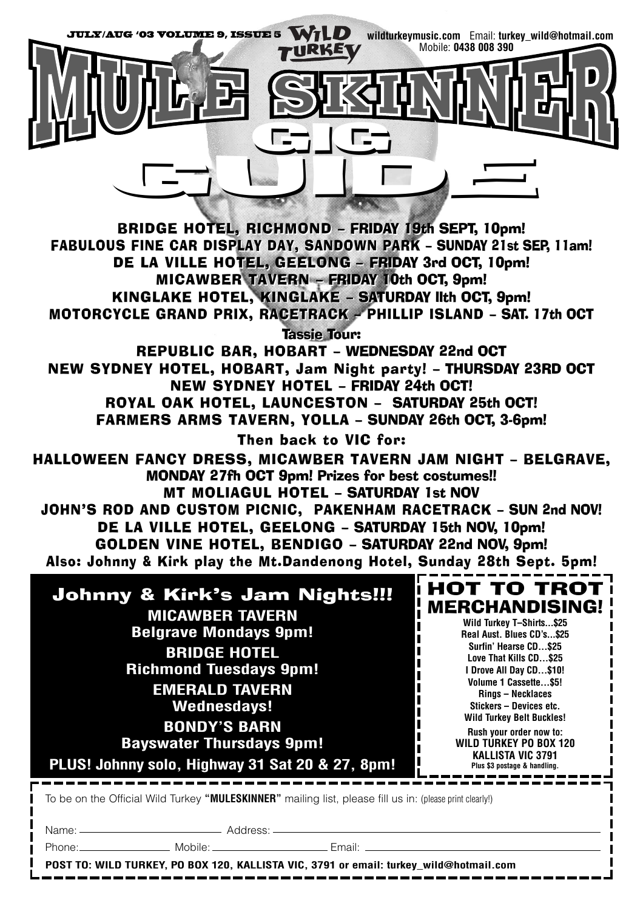

To be on the Official Wild Turkey **"MULESKINNER"** mailing list, please fill us in: (please print clearly!)

Name: Address:

Phone: Mobile: Mobile: Email: Email:

**POST TO: WILD TURKEY, PO BOX 120, KALLISTA VIC, 3791 or email: turkey\_wild@hotmail.com**